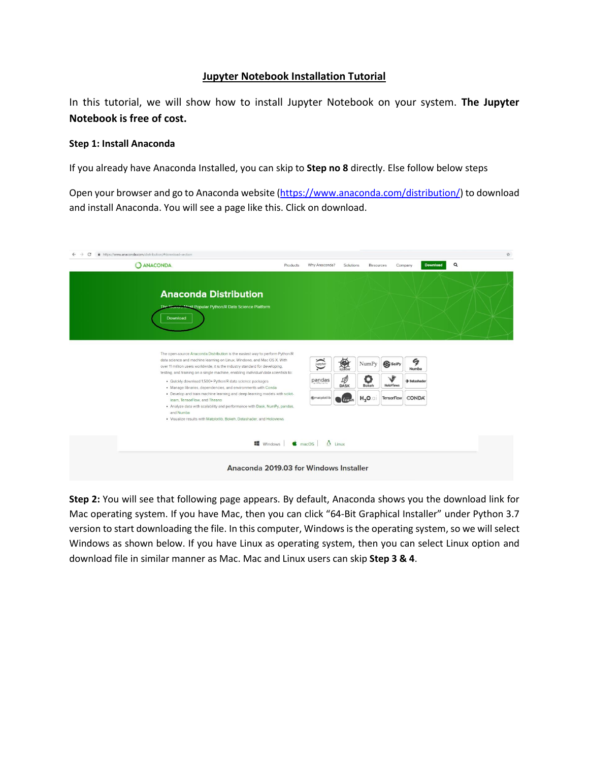## **Jupyter Notebook Installation Tutorial**

In this tutorial, we will show how to install Jupyter Notebook on your system. **The Jupyter Notebook is free of cost.**

## **Step 1: Install Anaconda**

If you already have Anaconda Installed, you can skip to **Step no 8** directly. Else follow below steps

Open your browser and go to Anaconda website [\(https://www.anaconda.com/distribution/\)](https://www.anaconda.com/distribution/) to download and install Anaconda. You will see a page like this. Click on download.

| <b>Anaconda Distribution</b><br>The World's Mest Popular Python/R Data Science Platform                                                                                                                                                                                                                                                                                                                                                                                                                                                                                   |                                          |                                          |                               |                                                |                                            |  |
|---------------------------------------------------------------------------------------------------------------------------------------------------------------------------------------------------------------------------------------------------------------------------------------------------------------------------------------------------------------------------------------------------------------------------------------------------------------------------------------------------------------------------------------------------------------------------|------------------------------------------|------------------------------------------|-------------------------------|------------------------------------------------|--------------------------------------------|--|
| Download                                                                                                                                                                                                                                                                                                                                                                                                                                                                                                                                                                  |                                          |                                          |                               |                                                |                                            |  |
| The open-source Anaconda Distribution is the easiest way to perform Python/R<br>data science and machine learning on Linux, Windows, and Mac OS X. With<br>over 11 million users worldwide, it is the industry standard for developing,<br>testing, and training on a single machine, enabling individual data scientists to:<br>· Quickly download 1,500+ Python/R data science packages<br>· Manage libraries, dependencies, and environments with Conda<br>. Develop and train machine learning and deep learning models with scikit-<br>learn, TensorFlow, and Theano | jupyter<br>pandas<br><b>K</b> matplotlib | <b>Red</b><br>10<br><b>DASK</b><br>learn | NumPy<br>a<br>Bokeh<br>$H_2O$ | S SciPy<br>V<br><b>HoloViews</b><br>TensorFlow | G<br>Numba<br>· Datashader<br><b>CONDA</b> |  |
| . Analyze data with scalability and performance with Dask, NumPy, pandas,<br>and Numba<br>· Visualize results with Matplotlib, Bokeh, Datashader, and Holoviews                                                                                                                                                                                                                                                                                                                                                                                                           |                                          |                                          |                               |                                                |                                            |  |
| $\blacksquare$ Windows $\blacksquare$ macOS $\blacksquare$ Linux                                                                                                                                                                                                                                                                                                                                                                                                                                                                                                          |                                          |                                          |                               |                                                |                                            |  |

**Step 2:** You will see that following page appears. By default, Anaconda shows you the download link for Mac operating system. If you have Mac, then you can click "64-Bit Graphical Installer" under Python 3.7 version to start downloading the file. In this computer, Windows is the operating system, so we will select Windows as shown below. If you have Linux as operating system, then you can select Linux option and download file in similar manner as Mac. Mac and Linux users can skip **Step 3 & 4**.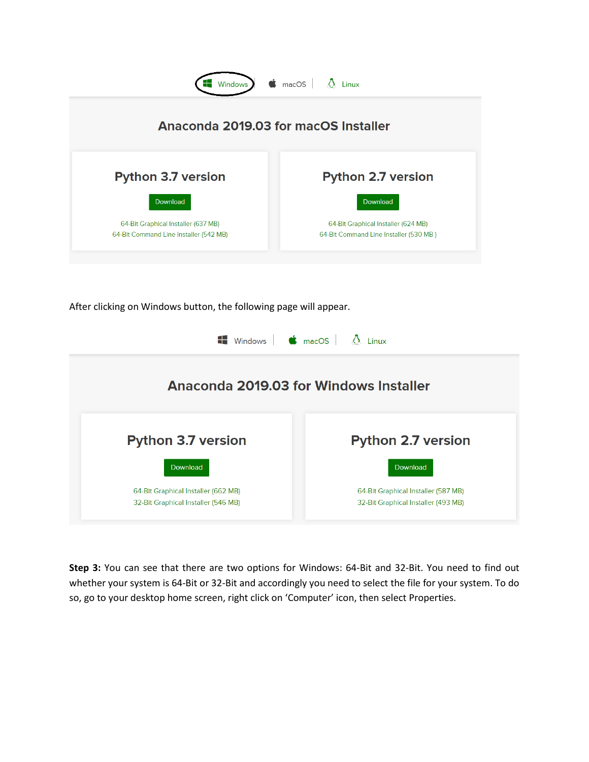

After clicking on Windows button, the following page will appear.

| $\blacksquare$ Windows $\blacksquare$ $\blacksquare$ macOS $\blacksquare$ $\Lambda$ Linux |                                     |
|-------------------------------------------------------------------------------------------|-------------------------------------|
| Anaconda 2019.03 for Windows Installer                                                    |                                     |
| <b>Python 3.7 version</b>                                                                 | <b>Python 2.7 version</b>           |
| Download                                                                                  | Download                            |
| 64-Bit Graphical Installer (662 MB)                                                       | 64-Bit Graphical Installer (587 MB) |
| 32-Bit Graphical Installer (546 MB)                                                       | 32-Bit Graphical Installer (493 MB) |

**Step 3:** You can see that there are two options for Windows: 64-Bit and 32-Bit. You need to find out whether your system is 64-Bit or 32-Bit and accordingly you need to select the file for your system. To do so, go to your desktop home screen, right click on 'Computer' icon, then select Properties.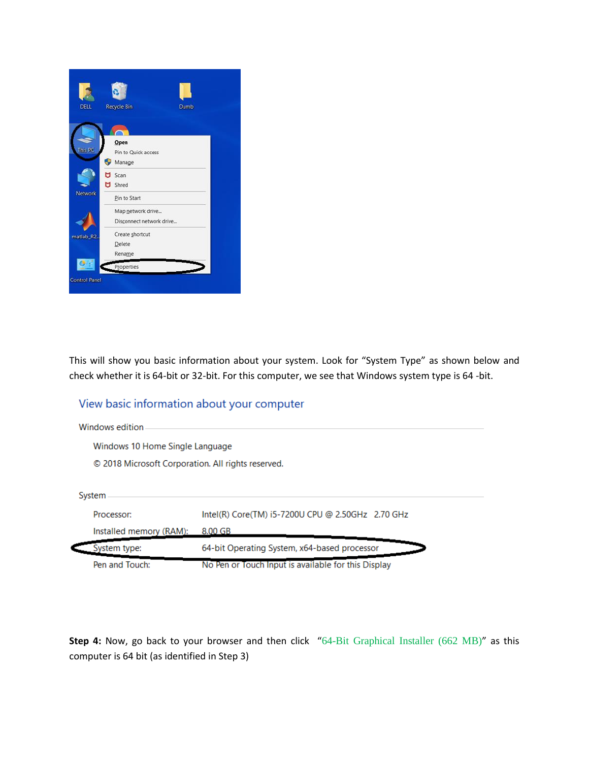

This will show you basic information about your system. Look for "System Type" as shown below and check whether it is 64-bit or 32-bit. For this computer, we see that Windows system type is 64 -bit.

## View basic information about your computer

| Windows edition                                    |                                                   |
|----------------------------------------------------|---------------------------------------------------|
| Windows 10 Home Single Language                    |                                                   |
| © 2018 Microsoft Corporation. All rights reserved. |                                                   |
| System                                             |                                                   |
|                                                    |                                                   |
| Processor:                                         | Intel(R) Core(TM) i5-7200U CPU @ 2.50GHz 2.70 GHz |
| Installed memory (RAM):                            | 8.00 GB                                           |
| System type:                                       | 64-bit Operating System, x64-based processor      |

**Step 4:** Now, go back to your browser and then click "64-Bit [Graphical](https://repo.anaconda.com/archive/Anaconda3-2019.03-Windows-x86_64.exe) Installer (662 MB)" as this computer is 64 bit (as identified in Step 3)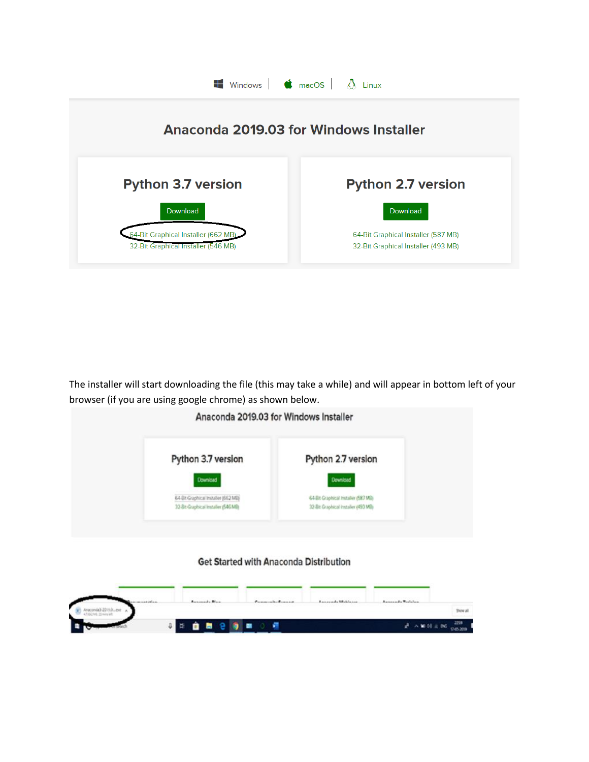

The installer will start downloading the file (this may take a while) and will appear in bottom left of your browser (if you are using google chrome) as shown below.



## Get Started with Anaconda Distribution

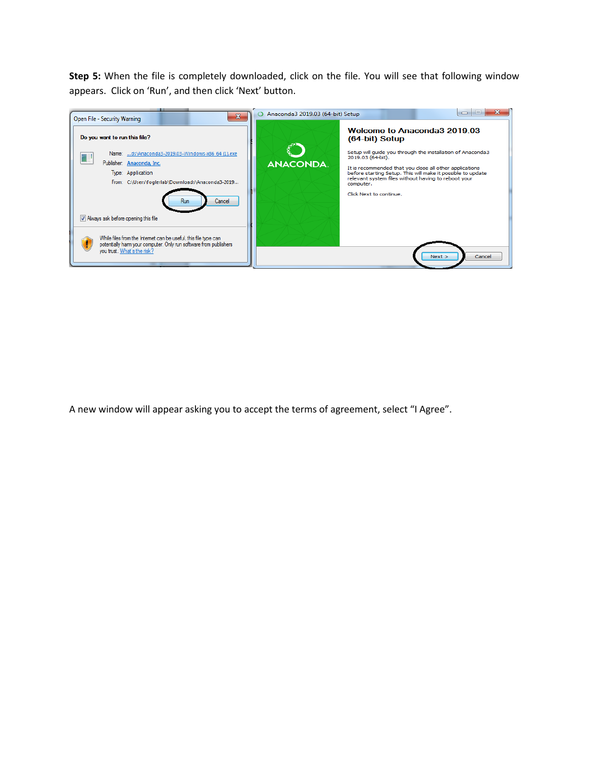**Step 5:** When the file is completely downloaded, click on the file. You will see that following window appears. Click on 'Run', and then click 'Next' button.



A new window will appear asking you to accept the terms of agreement, select "I Agree".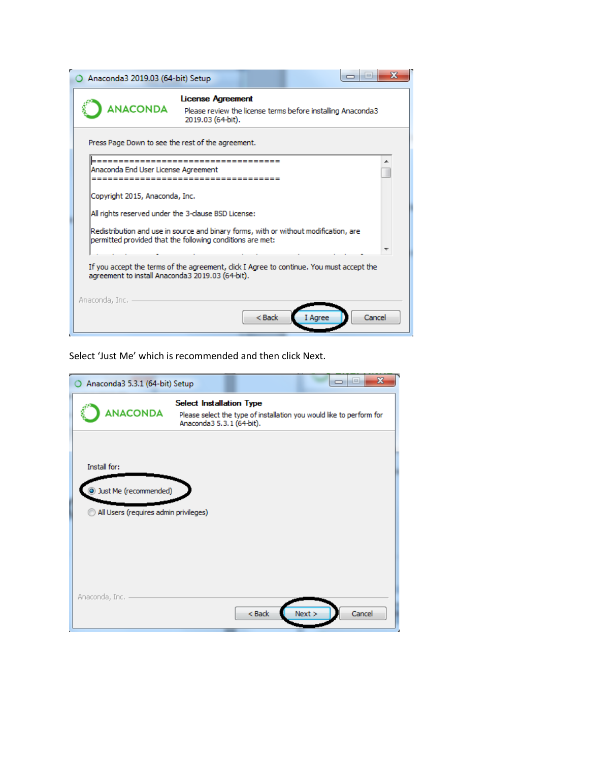|                | Anaconda3 2019.03 (64-bit) Setup    |                                                                                                                                                                                                          |          |         |        |
|----------------|-------------------------------------|----------------------------------------------------------------------------------------------------------------------------------------------------------------------------------------------------------|----------|---------|--------|
|                | <b>ANACONDA</b>                     | <b>License Agreement</b><br>Please review the license terms before installing Anaconda3<br>2019.03 (64-bit).                                                                                             |          |         |        |
|                | Anaconda End User License Agreement | Press Page Down to see the rest of the agreement.<br>------------------------------------                                                                                                                |          |         |        |
|                | Copyright 2015, Anaconda, Inc.      | All rights reserved under the 3-clause BSD License:<br>Redistribution and use in source and binary forms, with or without modification, are<br>permitted provided that the following conditions are met: |          |         |        |
| Anaconda, Inc. |                                     | If you accept the terms of the agreement, click I Agree to continue. You must accept the<br>agreement to install Anaconda3 2019.03 (64-bit).                                                             |          |         |        |
|                |                                     |                                                                                                                                                                                                          | $<$ Back | I Aaree | Cancel |

Select 'Just Me' which is recommended and then click Next.

| Anaconda3 5.3.1 (64-bit) Setup                                                        | $\mathbf{x}$<br>$\Box$                                                                                                               |
|---------------------------------------------------------------------------------------|--------------------------------------------------------------------------------------------------------------------------------------|
| <b>ANACONDA</b>                                                                       | <b>Select Installation Type</b><br>Please select the type of installation you would like to perform for<br>Anaconda3 5.3.1 (64-bit). |
| Install for:<br><b>Just Me (recommended)</b><br>All Users (requires admin privileges) |                                                                                                                                      |
| Anaconda, Inc.                                                                        | Next ><br>Cancel<br>$<$ Back                                                                                                         |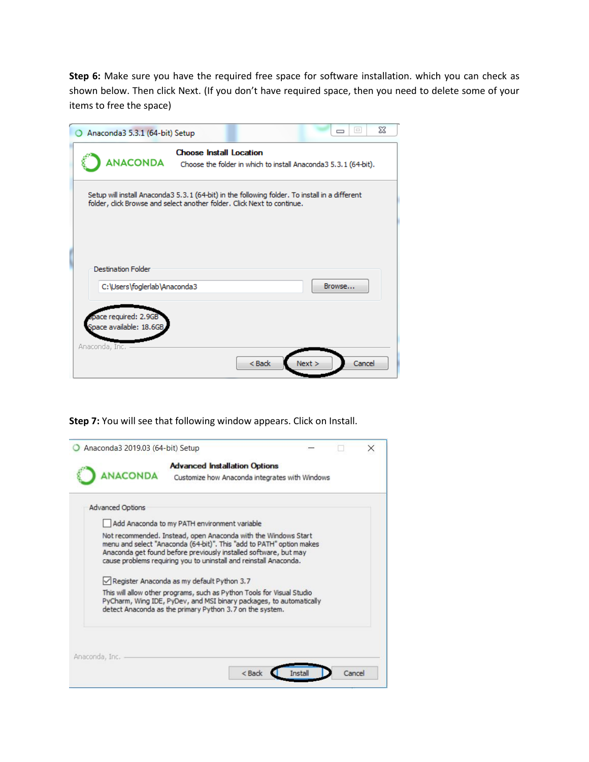**Step 6:** Make sure you have the required free space for software installation. which you can check as shown below. Then click Next. (If you don't have required space, then you need to delete some of your items to free the space)

| Anaconda3 5.3.1 (64-bit) Setup                                                                                                                                           |                                |        | $\Box$<br>$\Box$                                                 | ΣŜ |
|--------------------------------------------------------------------------------------------------------------------------------------------------------------------------|--------------------------------|--------|------------------------------------------------------------------|----|
| <b>ANACONDA</b>                                                                                                                                                          | <b>Choose Install Location</b> |        | Choose the folder in which to install Anaconda 3 5.3.1 (64-bit). |    |
| Setup will install Anaconda3 5.3.1 (64-bit) in the following folder. To install in a different<br>folder, dick Browse and select another folder. Click Next to continue. |                                |        |                                                                  |    |
| <b>Destination Folder</b>                                                                                                                                                |                                |        |                                                                  |    |
| C:\Users\foglerlab\Anaconda3<br>pace required: 2.9GB<br>Space available: 18.6GB                                                                                          |                                |        | Browse                                                           |    |
| Anaconda, Inc.                                                                                                                                                           |                                | $Back$ | Next ><br>Cancel                                                 |    |

**Step 7:** You will see that following window appears. Click on Install.

| <b>Advanced Installation Options</b><br>ANACONDA<br>Customize how Anaconda integrates with Windows<br><b>Advanced Options</b><br>Add Anaconda to my PATH environment variable<br>Not recommended. Instead, open Anaconda with the Windows Start<br>menu and select "Anaconda (64-bit)". This "add to PATH" option makes<br>Anaconda get found before previously installed software, but may<br>cause problems requiring you to uninstall and reinstall Anaconda. |  |  |
|------------------------------------------------------------------------------------------------------------------------------------------------------------------------------------------------------------------------------------------------------------------------------------------------------------------------------------------------------------------------------------------------------------------------------------------------------------------|--|--|
|                                                                                                                                                                                                                                                                                                                                                                                                                                                                  |  |  |
|                                                                                                                                                                                                                                                                                                                                                                                                                                                                  |  |  |
|                                                                                                                                                                                                                                                                                                                                                                                                                                                                  |  |  |
| Register Anaconda as my default Python 3.7                                                                                                                                                                                                                                                                                                                                                                                                                       |  |  |
| This will allow other programs, such as Python Tools for Visual Studio<br>PyCharm, Wing IDE, PyDev, and MSI binary packages, to automatically<br>detect Anaconda as the primary Python 3.7 on the system.                                                                                                                                                                                                                                                        |  |  |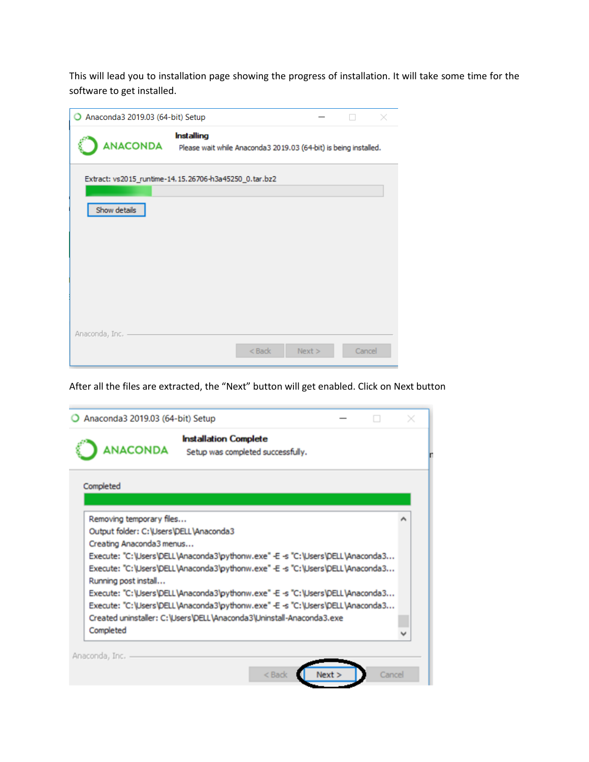This will lead you to installation page showing the progress of installation. It will take some time for the software to get installed.

| Anaconda3 2019.03 (64-bit) Setup |                                                                                                |        |        |  |
|----------------------------------|------------------------------------------------------------------------------------------------|--------|--------|--|
|                                  | <b>Installing</b><br>ANACONDA Please wait while Anaconda3 2019.03 (64-bit) is being installed. |        |        |  |
|                                  | Extract: vs2015_runtime-14.15.26706-h3a45250_0.tar.bz2                                         |        |        |  |
| Show details                     |                                                                                                |        |        |  |
|                                  |                                                                                                |        |        |  |
|                                  |                                                                                                |        |        |  |
|                                  |                                                                                                |        |        |  |
|                                  |                                                                                                |        |        |  |
|                                  |                                                                                                |        |        |  |
| Anaconda, Inc.                   | $<$ Back                                                                                       | Next > | Cancel |  |
|                                  |                                                                                                |        |        |  |

After all the files are extracted, the "Next" button will get enabled. Click on Next button

|                                                                                                                        | Anaconda3 2019.03 (64-bit) Setup                                                                                                                                                                                                                                                                                                 |  |
|------------------------------------------------------------------------------------------------------------------------|----------------------------------------------------------------------------------------------------------------------------------------------------------------------------------------------------------------------------------------------------------------------------------------------------------------------------------|--|
| <b>ANACONDA</b>                                                                                                        | <b>Installation Complete</b><br>Setup was completed successfully.                                                                                                                                                                                                                                                                |  |
| Completed                                                                                                              |                                                                                                                                                                                                                                                                                                                                  |  |
| Removing temporary files<br>Output folder: C:\Users\DELL\Anaconda3<br>Creating Anaconda3 menus<br>Running post install | Execute: "C:\Users\DELL\Anaconda3\pythonw.exe" -E -s "C:\Users\DELL\Anaconda3<br>Execute: "C:\Users\DELL\Anaconda3\pythonw.exe" -E -s "C:\Users\DELL\Anaconda3<br>Execute: "C:\Users\DELL\Anaconda3\pythonw.exe" -E -s "C:\Users\DELL\Anaconda3<br>Execute: "C:\Users\DELL\Anaconda3\pythonw.exe" -E -s "C:\Users\DELL\Anaconda3 |  |
|                                                                                                                        | Created uninstaller: C:\Users\DELL\Anaconda3\Uninstall-Anaconda3.exe                                                                                                                                                                                                                                                             |  |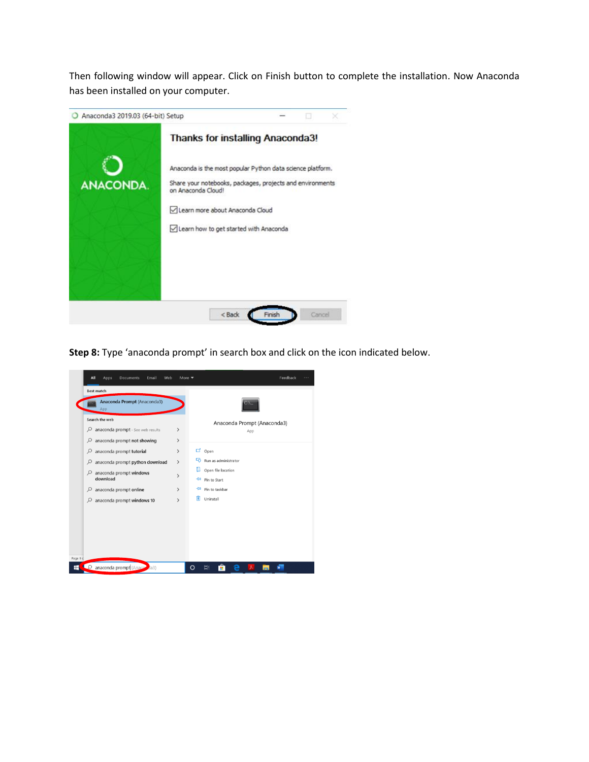Then following window will appear. Click on Finish button to complete the installation. Now Anaconda has been installed on your computer.



**Step 8:** Type 'anaconda prompt' in search box and click on the icon indicated below.

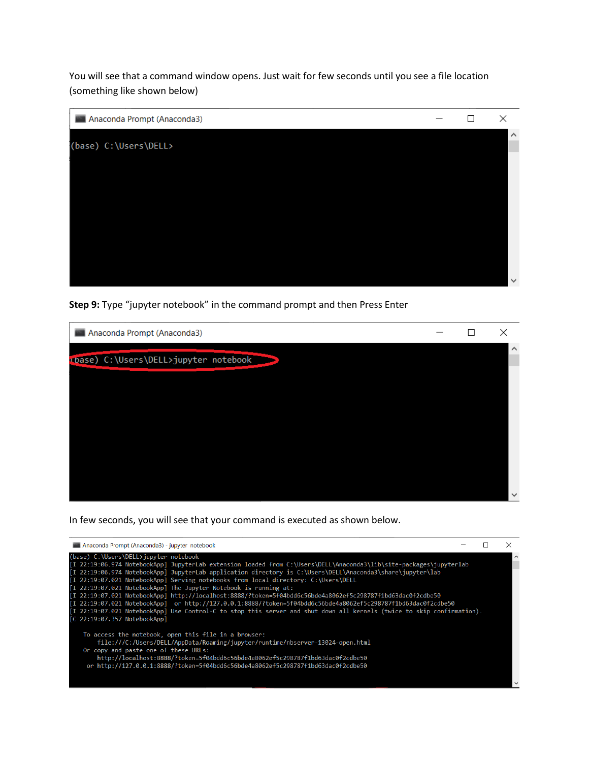You will see that a command window opens. Just wait for few seconds until you see a file location (something like shown below)

| Anaconda Prompt (Anaconda3) | ΙI | ×            |
|-----------------------------|----|--------------|
| (base) C: \Users\DELL>      |    | $\land$      |
|                             |    |              |
|                             |    |              |
|                             |    |              |
|                             |    |              |
|                             |    |              |
|                             |    |              |
|                             |    | $\checkmark$ |

**Step 9:** Type "jupyter notebook" in the command prompt and then Press Enter

| Anaconda Prompt (Anaconda3)           |  | ×            |
|---------------------------------------|--|--------------|
| cbase) C:\Users\DELL>jupyter notebook |  | $\sim$       |
|                                       |  |              |
|                                       |  |              |
|                                       |  |              |
|                                       |  |              |
|                                       |  | $\checkmark$ |

In few seconds, you will see that your command is executed as shown below.

| Anaconda Prompt (Anaconda3) - jupyter notebook                                                                                                                                                                                                                                                                                                                                                                                                                                                                                                                                                                                                                                                                                                                                                                               |  |  |
|------------------------------------------------------------------------------------------------------------------------------------------------------------------------------------------------------------------------------------------------------------------------------------------------------------------------------------------------------------------------------------------------------------------------------------------------------------------------------------------------------------------------------------------------------------------------------------------------------------------------------------------------------------------------------------------------------------------------------------------------------------------------------------------------------------------------------|--|--|
| (base) C:\Users\DELL>jupyter notebook<br>[I 22:19:06.974 NotebookApp] JupyterLab extension loaded from C:\Users\DELL\Anaconda3\lib\site-packages\jupyterlab<br>[I 22:19:06.974 NotebookApp] JupyterLab application directory is C:\Users\DELL\Anaconda3\share\jupyter\lab<br>[I 22:19:07.021 NotebookApp] Serving notebooks from local directory: C:\Users\DELL<br>[I 22:19:07.021 NotebookApp] The Jupyter Notebook is running at:<br>[I 22:19:07.021 NotebookApp] http://localhost:8888/?token=5f04bdd6c56bde4a8062ef5c298787f1bd63dac0f2cdbe50<br>[I 22:19:07.021 NotebookApp] or http://127.0.0.1:8888/?token=5f04bdd6c56bde4a8062ef5c298787f1bd63dac0f2cdbe50<br>[I 22:19:07.021 NotebookApp] Use Control-C to stop this server and shut down all kernels (twice to skip confirmation).<br>[C 22:19:07.357 NotebookApp] |  |  |
| To access the notebook, open this file in a browser:<br>file:///C:/Users/DELL/AppData/Roaming/jupyter/runtime/nbserver-13024-open.html<br>Or copy and paste one of these URLs:<br>http://localhost:8888/?token=5f04bdd6c56bde4a8062ef5c298787f1bd63dac0f2cdbe50<br>or http://127.0.0.1:8888/?token=5f04bdd6c56bde4a8062ef5c298787f1bd63dac0f2cdbe50                                                                                                                                                                                                                                                                                                                                                                                                                                                                          |  |  |